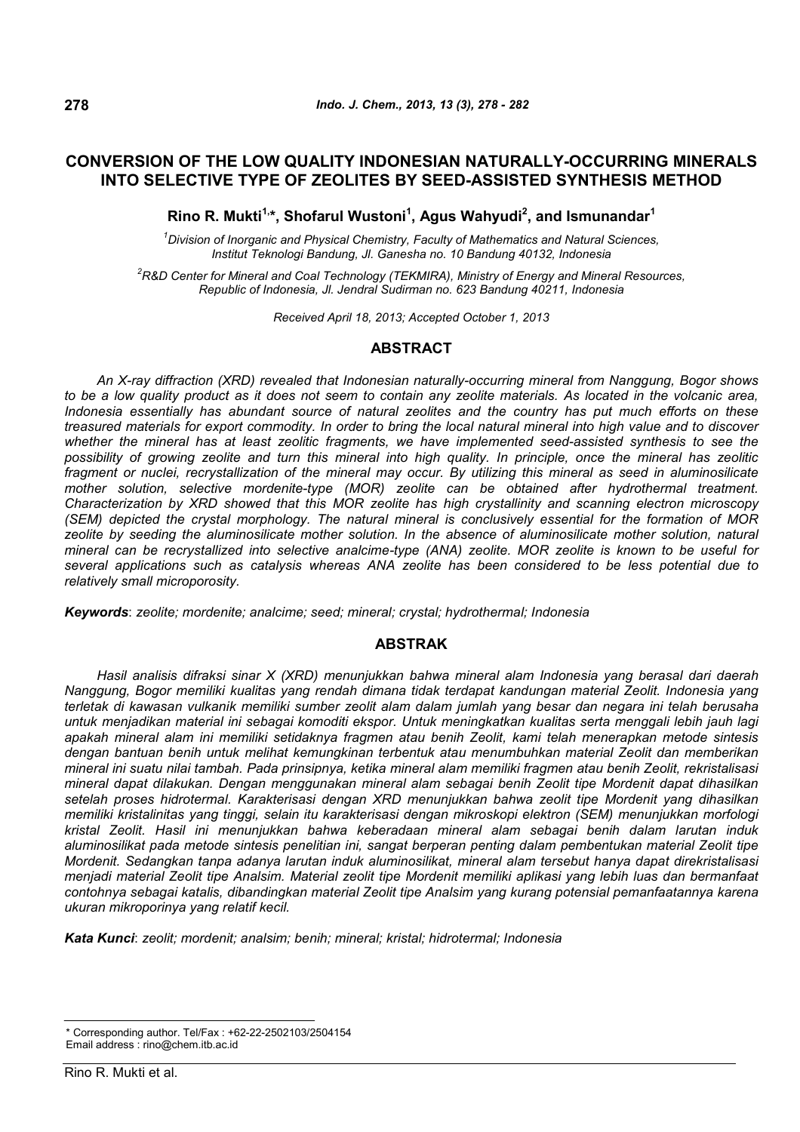# **CONVERSION OF THE LOW QUALITY INDONESIAN NATURALLY-OCCURRING MINERALS INTO SELECTIVE TYPE OF ZEOLITES BY SEED-ASSISTED SYNTHESIS METHOD**

**Rino R. Mukti1,\*, Shofarul Wustoni<sup>1</sup> , Agus Wahyudi<sup>2</sup> , and Ismunandar<sup>1</sup>**

*<sup>1</sup>Division of Inorganic and Physical Chemistry, Faculty of Mathematics and Natural Sciences, Institut Teknologi Bandung, Jl. Ganesha no. 10 Bandung 40132, Indonesia*

*<sup>2</sup>R&D Center for Mineral and Coal Technology (TEKMIRA), Ministry of Energy and Mineral Resources, Republic of Indonesia, Jl. Jendral Sudirman no. 623 Bandung 40211, Indonesia*

*Received April 18, 2013; Accepted October 1, 2013*

## **ABSTRACT**

*An X-ray diffraction (XRD) revealed that Indonesian naturally-occurring mineral from Nanggung, Bogor shows to be a low quality product as it does not seem to contain any zeolite materials. As located in the volcanic area, Indonesia essentially has abundant source of natural zeolites and the country has put much efforts on these treasured materials for export commodity. In order to bring the local natural mineral into high value and to discover whether the mineral has at least zeolitic fragments, we have implemented seed-assisted synthesis to see the possibility of growing zeolite and turn this mineral into high quality. In principle, once the mineral has zeolitic fragment or nuclei, recrystallization of the mineral may occur. By utilizing this mineral as seed in aluminosilicate mother solution, selective mordenite-type (MOR) zeolite can be obtained after hydrothermal treatment. Characterization by XRD showed that this MOR zeolite has high crystallinity and scanning electron microscopy (SEM) depicted the crystal morphology. The natural mineral is conclusively essential for the formation of MOR zeolite by seeding the aluminosilicate mother solution. In the absence of aluminosilicate mother solution, natural mineral can be recrystallized into selective analcime-type (ANA) zeolite. MOR zeolite is known to be useful for several applications such as catalysis whereas ANA zeolite has been considered to be less potential due to relatively small microporosity.*

*Keywords*: *zeolite; mordenite; analcime; seed; mineral; crystal; hydrothermal; Indonesia*

## **ABSTRAK**

*Hasil analisis difraksi sinar X (XRD) menunjukkan bahwa mineral alam Indonesia yang berasal dari daerah Nanggung, Bogor memiliki kualitas yang rendah dimana tidak terdapat kandungan material Zeolit. Indonesia yang terletak di kawasan vulkanik memiliki sumber zeolit alam dalam jumlah yang besar dan negara ini telah berusaha untuk menjadikan material ini sebagai komoditi ekspor. Untuk meningkatkan kualitas serta menggali lebih jauh lagi apakah mineral alam ini memiliki setidaknya fragmen atau benih Zeolit, kami telah menerapkan metode sintesis dengan bantuan benih untuk melihat kemungkinan terbentuk atau menumbuhkan material Zeolit dan memberikan mineral ini suatu nilai tambah. Pada prinsipnya, ketika mineral alam memiliki fragmen atau benih Zeolit, rekristalisasi mineral dapat dilakukan. Dengan menggunakan mineral alam sebagai benih Zeolit tipe Mordenit dapat dihasilkan setelah proses hidrotermal. Karakterisasi dengan XRD menunjukkan bahwa zeolit tipe Mordenit yang dihasilkan memiliki kristalinitas yang tinggi, selain itu karakterisasi dengan mikroskopi elektron (SEM) menunjukkan morfologi kristal Zeolit. Hasil ini menunjukkan bahwa keberadaan mineral alam sebagai benih dalam larutan induk aluminosilikat pada metode sintesis penelitian ini, sangat berperan penting dalam pembentukan material Zeolit tipe Mordenit. Sedangkan tanpa adanya larutan induk aluminosilikat, mineral alam tersebut hanya dapat direkristalisasi menjadi material Zeolit tipe Analsim. Material zeolit tipe Mordenit memiliki aplikasi yang lebih luas dan bermanfaat contohnya sebagai katalis, dibandingkan material Zeolit tipe Analsim yang kurang potensial pemanfaatannya karena ukuran mikroporinya yang relatif kecil.*

*Kata Kunci*: *zeolit; mordenit; analsim; benih; mineral; kristal; hidrotermal; Indonesia*

<sup>\*</sup> Corresponding author. Tel/Fax : +62-22-2502103/2504154 Email address : rino@chem.itb.ac.id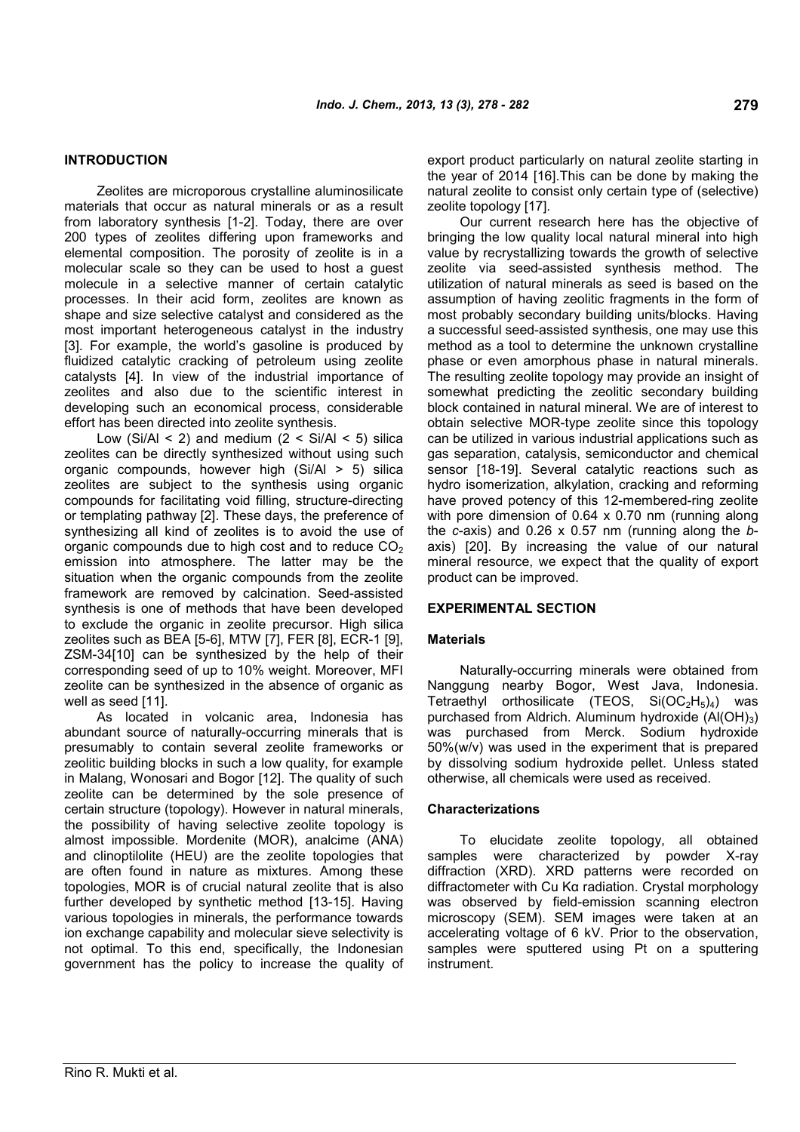## **INTRODUCTION**

Zeolites are microporous crystalline aluminosilicate materials that occur as natural minerals or as a result from laboratory synthesis [1-2]. Today, there are over 200 types of zeolites differing upon frameworks and elemental composition. The porosity of zeolite is in a molecular scale so they can be used to host a guest molecule in a selective manner of certain catalytic processes. In their acid form, zeolites are known as shape and size selective catalyst and considered as the most important heterogeneous catalyst in the industry [3]. For example, the world's gasoline is produced by fluidized catalytic cracking of petroleum using zeolite catalysts [4]. In view of the industrial importance of zeolites and also due to the scientific interest in developing such an economical process, considerable effort has been directed into zeolite synthesis.

Low (Si/Al < 2) and medium  $(2 <$  Si/Al  $<$  5) silica zeolites can be directly synthesized without using such organic compounds, however high  $(Si/Al > 5)$  silica zeolites are subject to the synthesis using organic compounds for facilitating void filling, structure-directing or templating pathway [2]. These days, the preference of synthesizing all kind of zeolites is to avoid the use of organic compounds due to high cost and to reduce  $CO<sub>2</sub>$ emission into atmosphere. The latter may be the situation when the organic compounds from the zeolite framework are removed by calcination. Seed-assisted synthesis is one of methods that have been developed to exclude the organic in zeolite precursor. High silica zeolites such as BEA [5-6], MTW [7], FER [8], ECR-1 [9], ZSM-34[10] can be synthesized by the help of their corresponding seed of up to 10% weight. Moreover, MFI zeolite can be synthesized in the absence of organic as well as seed [11].

As located in volcanic area, Indonesia has abundant source of naturally-occurring minerals that is presumably to contain several zeolite frameworks or zeolitic building blocks in such a low quality, for example in Malang, Wonosari and Bogor [12]. The quality of such zeolite can be determined by the sole presence of certain structure (topology). However in natural minerals, the possibility of having selective zeolite topology is almost impossible. Mordenite (MOR), analcime (ANA) and clinoptilolite (HEU) are the zeolite topologies that are often found in nature as mixtures. Among these topologies, MOR is of crucial natural zeolite that is also further developed by synthetic method [13-15]. Having various topologies in minerals, the performance towards ion exchange capability and molecular sieve selectivity is not optimal. To this end, specifically, the Indonesian government has the policy to increase the quality of

export product particularly on natural zeolite starting in the year of 2014 [16].This can be done by making the natural zeolite to consist only certain type of (selective) zeolite topology [17].

Our current research here has the objective of bringing the low quality local natural mineral into high value by recrystallizing towards the growth of selective zeolite via seed-assisted synthesis method. The utilization of natural minerals as seed is based on the assumption of having zeolitic fragments in the form of most probably secondary building units/blocks. Having a successful seed-assisted synthesis, one may use this method as a tool to determine the unknown crystalline phase or even amorphous phase in natural minerals. The resulting zeolite topology may provide an insight of somewhat predicting the zeolitic secondary building block contained in natural mineral. We are of interest to obtain selective MOR-type zeolite since this topology can be utilized in various industrial applications such as gas separation, catalysis, semiconductor and chemical sensor [18-19]. Several catalytic reactions such as hydro isomerization, alkylation, cracking and reforming have proved potency of this 12-membered-ring zeolite with pore dimension of 0.64 x 0.70 nm (running along the *c*-axis) and 0.26 x 0.57 nm (running along the *b*axis) [20]. By increasing the value of our natural mineral resource, we expect that the quality of export product can be improved.

#### **EXPERIMENTAL SECTION**

#### **Materials**

Naturally-occurring minerals were obtained from Nanggung nearby Bogor, West Java, Indonesia. Tetraethyl orthosilicate (TEOS,  $Si(OC_2H_5)_4$ ) was purchased from Aldrich. Aluminum hydroxide  $(AI(OH)<sub>3</sub>)$ was purchased from Merck. Sodium hydroxide 50%(w/v) was used in the experiment that is prepared by dissolving sodium hydroxide pellet. Unless stated otherwise, all chemicals were used as received.

#### **Characterizations**

To elucidate zeolite topology, all obtained samples were characterized by powder X-ray diffraction (XRD). XRD patterns were recorded on diffractometer with Cu Kα radiation. Crystal morphology was observed by field-emission scanning electron microscopy (SEM). SEM images were taken at an accelerating voltage of 6 kV. Prior to the observation, samples were sputtered using Pt on a sputtering instrument.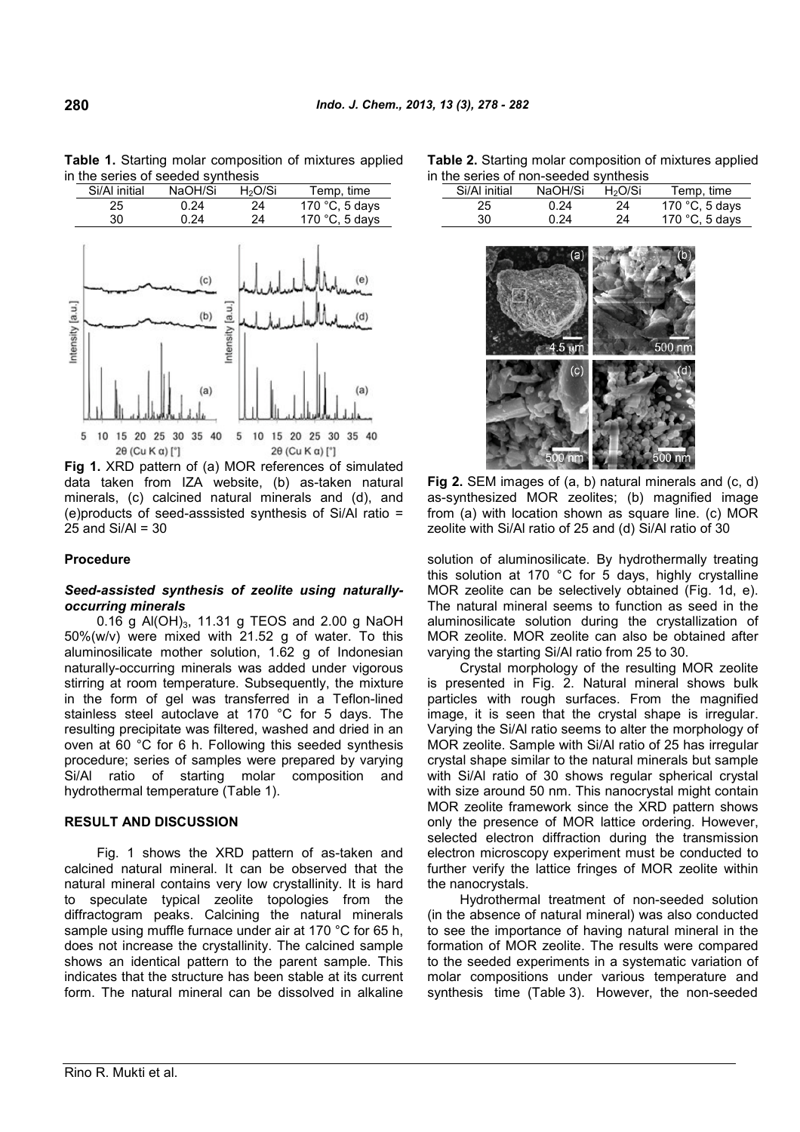

**Table 1.** Starting molar composition of mixtures applied in the series of seeded synthesis

**Fig 1.** XRD pattern of (a) MOR references of simulated data taken from IZA website, (b) as-taken natural minerals, (c) calcined natural minerals and (d), and (e)products of seed-asssisted synthesis of Si/Al ratio =  $25$  and Si/Al = 30

### **Procedure**

#### *Seed-assisted synthesis of zeolite using naturallyoccurring minerals*

0.16 g Al(OH)<sub>3</sub>, 11.31 g TEOS and 2.00 g NaOH 50%(w/v) were mixed with 21.52 g of water. To this aluminosilicate mother solution, 1.62 g of Indonesian naturally-occurring minerals was added under vigorous stirring at room temperature. Subsequently, the mixture in the form of gel was transferred in a Teflon-lined stainless steel autoclave at 170 °C for 5 days. The resulting precipitate was filtered, washed and dried in an oven at 60 °C for 6 h. Following this seeded synthesis procedure; series of samples were prepared by varying Si/Al ratio of starting molar composition and hydrothermal temperature (Table 1).

#### **RESULT AND DISCUSSION**

Fig. 1 shows the XRD pattern of as-taken and calcined natural mineral. It can be observed that the natural mineral contains very low crystallinity. It is hard to speculate typical zeolite topologies from the diffractogram peaks. Calcining the natural minerals sample using muffle furnace under air at 170 °C for 65 h, does not increase the crystallinity. The calcined sample shows an identical pattern to the parent sample. This indicates that the structure has been stable at its current form. The natural mineral can be dissolved in alkaline

| <b>Table 2.</b> Starting molar composition of mixtures applied |  |
|----------------------------------------------------------------|--|
| in the series of non-seeded synthesis                          |  |

| the series of non-seeded synthesis |    |         |                     |                         |  |  |  |  |
|------------------------------------|----|---------|---------------------|-------------------------|--|--|--|--|
| Si/Al initial                      |    | NaOH/Si | H <sub>2</sub> O/Si | Temp, time              |  |  |  |  |
|                                    | 25 | 0.24    | 24                  | 170 $\degree$ C, 5 days |  |  |  |  |
|                                    | 30 | 0.24    | 24                  | 170 $\degree$ C, 5 days |  |  |  |  |



**Fig 2.** SEM images of (a, b) natural minerals and (c, d) as-synthesized MOR zeolites; (b) magnified image from (a) with location shown as square line. (c) MOR zeolite with Si/Al ratio of 25 and (d) Si/Al ratio of 30

solution of aluminosilicate. By hydrothermally treating this solution at 170 °C for 5 days, highly crystalline MOR zeolite can be selectively obtained (Fig. 1d, e). The natural mineral seems to function as seed in the aluminosilicate solution during the crystallization of MOR zeolite. MOR zeolite can also be obtained after varying the starting Si/Al ratio from 25 to 30.

Crystal morphology of the resulting MOR zeolite is presented in Fig. 2. Natural mineral shows bulk particles with rough surfaces. From the magnified image, it is seen that the crystal shape is irregular. Varying the Si/Al ratio seems to alter the morphology of MOR zeolite. Sample with Si/Al ratio of 25 has irregular crystal shape similar to the natural minerals but sample with Si/Al ratio of 30 shows regular spherical crystal with size around 50 nm. This nanocrystal might contain MOR zeolite framework since the XRD pattern shows only the presence of MOR lattice ordering. However, selected electron diffraction during the transmission electron microscopy experiment must be conducted to further verify the lattice fringes of MOR zeolite within the nanocrystals.

Hydrothermal treatment of non-seeded solution (in the absence of natural mineral) was also conducted to see the importance of having natural mineral in the formation of MOR zeolite. The results were compared to the seeded experiments in a systematic variation of molar compositions under various temperature and synthesis time (Table 3). However, the non-seeded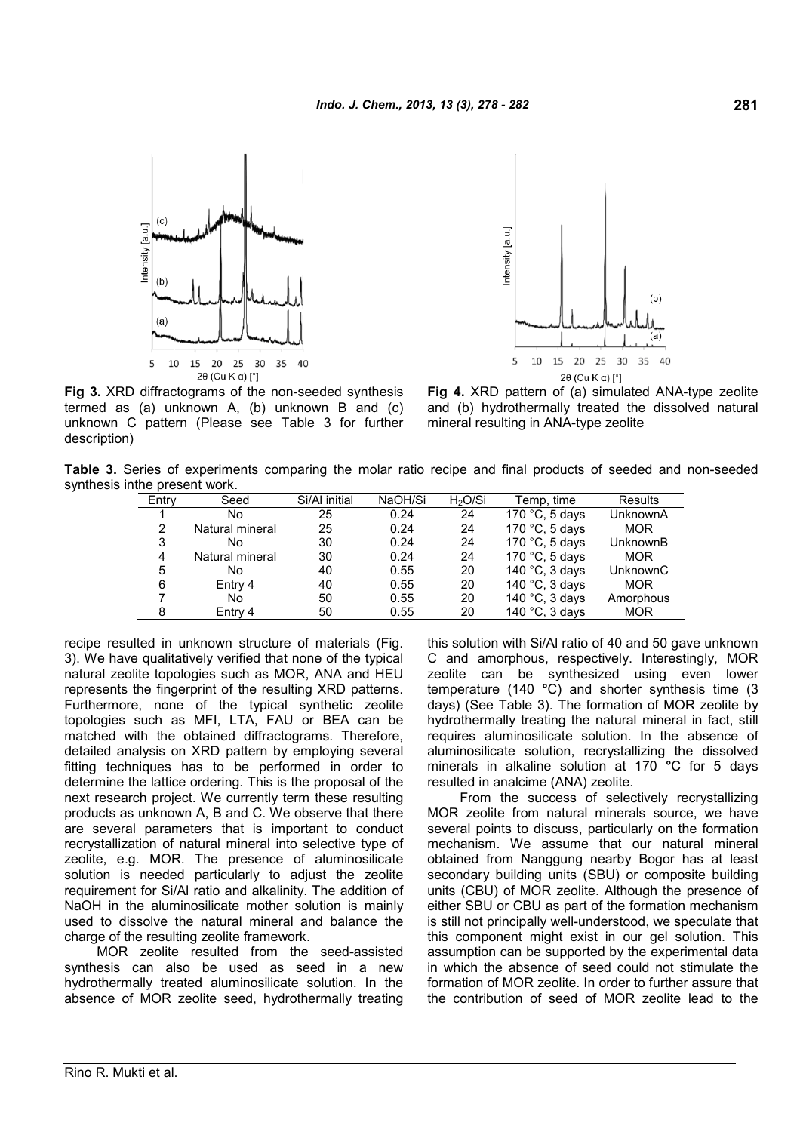



**Fig 3.** XRD diffractograms of the non-seeded synthesis termed as (a) unknown A, (b) unknown B and (c) unknown C pattern (Please see Table 3 for further description)

**Fig 4.** XRD pattern of (a) simulated ANA-type zeolite and (b) hydrothermally treated the dissolved natural mineral resulting in ANA-type zeolite

**Table 3.** Series of experiments comparing the molar ratio recipe and final products of seeded and non-seeded synthesis inthe present work.

| Entry | Seed            | Si/Al initial | NaOH/Si | H <sub>2</sub> O/Si | Temp, time        | Results    |
|-------|-----------------|---------------|---------|---------------------|-------------------|------------|
|       | No              | 25            | 0.24    | 24                  | 170 $°C$ , 5 days | UnknownA   |
| 2     | Natural mineral | 25            | 0.24    | 24                  | 170 °C, 5 days    | <b>MOR</b> |
| 3     | No              | 30            | 0.24    | 24                  | 170 $°C$ , 5 days | UnknownB   |
| 4     | Natural mineral | 30            | 0.24    | 24                  | 170 $°C$ , 5 days | <b>MOR</b> |
| 5     | No              | 40            | 0.55    | 20                  | 140 °C, 3 days    | UnknownC   |
| 6     | Entry 4         | 40            | 0.55    | 20                  | 140 °C, 3 days    | <b>MOR</b> |
|       | No              | 50            | 0.55    | 20                  | 140 °C, 3 days    | Amorphous  |
| 8     | Entry 4         | 50            | 0.55    | 20                  | 140 °C, 3 days    | <b>MOR</b> |

recipe resulted in unknown structure of materials (Fig. 3). We have qualitatively verified that none of the typical natural zeolite topologies such as MOR, ANA and HEU represents the fingerprint of the resulting XRD patterns. Furthermore, none of the typical synthetic zeolite topologies such as MFI, LTA, FAU or BEA can be matched with the obtained diffractograms. Therefore, detailed analysis on XRD pattern by employing several fitting techniques has to be performed in order to determine the lattice ordering. This is the proposal of the next research project. We currently term these resulting products as unknown A, B and C. We observe that there are several parameters that is important to conduct recrystallization of natural mineral into selective type of zeolite, e.g. MOR. The presence of aluminosilicate solution is needed particularly to adjust the zeolite requirement for Si/Al ratio and alkalinity. The addition of NaOH in the aluminosilicate mother solution is mainly used to dissolve the natural mineral and balance the charge of the resulting zeolite framework.

MOR zeolite resulted from the seed-assisted synthesis can also be used as seed in a new hydrothermally treated aluminosilicate solution. In the absence of MOR zeolite seed, hydrothermally treating this solution with Si/Al ratio of 40 and 50 gave unknown C and amorphous, respectively. Interestingly, MOR zeolite can be synthesized using even lower temperature (140 **°**C) and shorter synthesis time (3 days) (See Table 3). The formation of MOR zeolite by hydrothermally treating the natural mineral in fact, still requires aluminosilicate solution. In the absence of aluminosilicate solution, recrystallizing the dissolved minerals in alkaline solution at 170 **°**C for 5 days resulted in analcime (ANA) zeolite.

From the success of selectively recrystallizing MOR zeolite from natural minerals source, we have several points to discuss, particularly on the formation mechanism. We assume that our natural mineral obtained from Nanggung nearby Bogor has at least secondary building units (SBU) or composite building units (CBU) of MOR zeolite. Although the presence of either SBU or CBU as part of the formation mechanism is still not principally well-understood, we speculate that this component might exist in our gel solution. This assumption can be supported by the experimental data in which the absence of seed could not stimulate the formation of MOR zeolite. In order to further assure that the contribution of seed of MOR zeolite lead to the